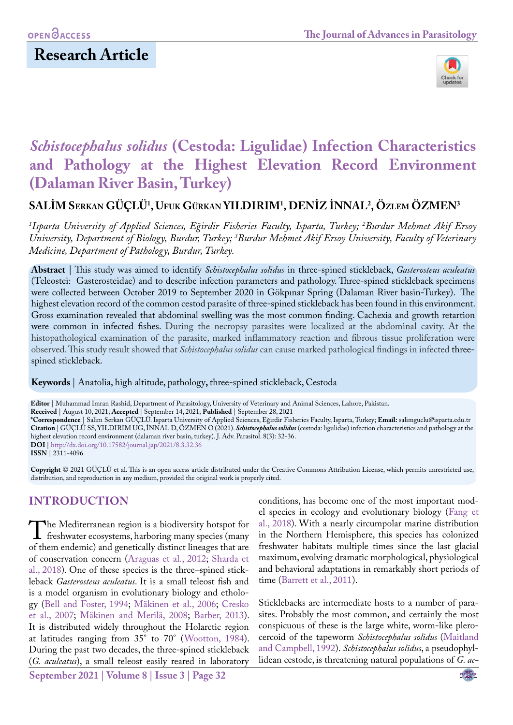

# *Schistocephalus solidus* **(Cestoda: Ligulidae) Infection Characteristics and Pathology at the Highest Elevation Record Environment (Dalaman River Basin, Turkey)**

**SALİM Serkan GÜÇLÜ1 , Ufuk Gürkan YILDIRIM1 , DENİZ İNNAL2 , Özlem ÖZMEN3**

*1 Isparta University of Applied Sciences, Eğirdir Fisheries Faculty, Isparta, Turkey; 2 Burdur Mehmet Akif Ersoy University, Department of Biology, Burdur, Turkey; 3 Burdur Mehmet Akif Ersoy University, Faculty of Veterinary Medicine, Department of Pathology, Burdur, Turkey.*

**Abstract** | This study was aimed to identify *Schistocephalus solidus* in three-spined stickleback, *Gasterosteus aculeatus* (Teleostei: Gasterosteidae) and to describe infection parameters and pathology. Three-spined stickleback specimens were collected between October 2019 to September 2020 in Gökpınar Spring (Dalaman River basin-Turkey).The highest elevation record of the common cestod parasite of three-spined stickleback has been found in this environment. Gross examination revealed that abdominal swelling was the most common finding. Cachexia and growth retartion were common in infected fishes. During the necropsy parasites were localized at the abdominal cavity. At the histopathological examination of the parasite, marked inflammatory reaction and fibrous tissue proliferation were observed. This study result showed that *Schistocephalus solidus* can cause marked pathological findings in infected threespined stickleback.

**Keywords** | Anatolia, high altitude, pathology**,** three-spined stickleback, Cestoda

**Editor** | Muhammad Imran Rashid, Department of Parasitology, University of Veterinary and Animal Sciences, Lahore, Pakistan.

**Received** | August 10, 2021; **Accepted** | September 14, 2021; **Published** | September 28, 2021

**\*Correspondence** | Salim Serkan GÜÇLÜ. Isparta University of Applied Sciences, Eğirdir Fisheries Faculty, Isparta, Turkey; **Email:** salimguclu@isparta.edu.tr **Citation** | GÜÇLÜ SS, YILDIRIM UG, İNNAL D, ÖZMEN O (2021). *Schistocephalus solidus* (cestoda: ligulidae) infection characteristics and pathology at the highest elevation record environment (dalaman river basin, turkey). J. Adv. Parasitol. 8(3): 32-36. **DOI** | [http://dx.doi.org/10.17582/journal.jap/20](http://dx.doi.org/10.17582/journal.jap/2021/8.3.32.36)21/8.3.32.36

**ISSN** | 2311-4096

**Copyright** © 2021 GÜÇLÜ et al. This is an open access article distributed under the Creative Commons Attribution License, which permits unrestricted use, distribution, and reproduction in any medium, provided the original work is properly cited.

# **INTRODUCTION**

The Mediterranean region is a biodiversity hotspot for<br>freshwater ecosystems, harboring many species (many<br>of them endemic) and genetically distinct lineages that are of them endemic) and genetically distinct lineages that are of conservation concern [\(Araguas et al., 2012](#page-3-0); [Sharda et](#page-4-0)  [al., 2018](#page-4-0)). One of these species is the three–spined stickleback *Gasterosteus aculeatus*. It is a small teleost fish and is a model organism in evolutionary biology and ethology ([Bell and Foster, 1994;](#page-3-1) [Mäkinen et al., 2006;](#page-4-1) [Cresko](#page-4-2)  [et al., 2007;](#page-4-2) [Mäkinen and Merilä, 2008;](#page-4-3) [Barber, 2013](#page-3-2)). It is distributed widely throughout the Holarctic region at latitudes ranging from 35° to 70° ([Wootton, 1984](#page-4-4)). During the past two decades, the three-spined stickleback (*G. aculeatus*), a small teleost easily reared in laboratory

**September 2021 | Volume 8 | Issue 3 | Page 32**

conditions, has become one of the most important model species in ecology and evolutionary biology ([Fang et](#page-4-5)  [al., 2018](#page-4-5)). With a nearly circumpolar marine distribution in the Northern Hemisphere, this species has colonized freshwater habitats multiple times since the last glacial maximum, evolving dramatic morphological, physiological and behavioral adaptations in remarkably short periods of time ([Barrett et al., 2011\)](#page-3-3).

Sticklebacks are intermediate hosts to a number of parasites. Probably the most common, and certainly the most conspicuous of these is the large white, worm-like plerocercoid of the tapeworm *Schistocephalus solidus* ([Maitland](#page-4-6)  [and Campbell, 1992](#page-4-6)). *Schistocephalus solidus*, a pseudophyllidean cestode, is threatening natural populations of *G. ac-*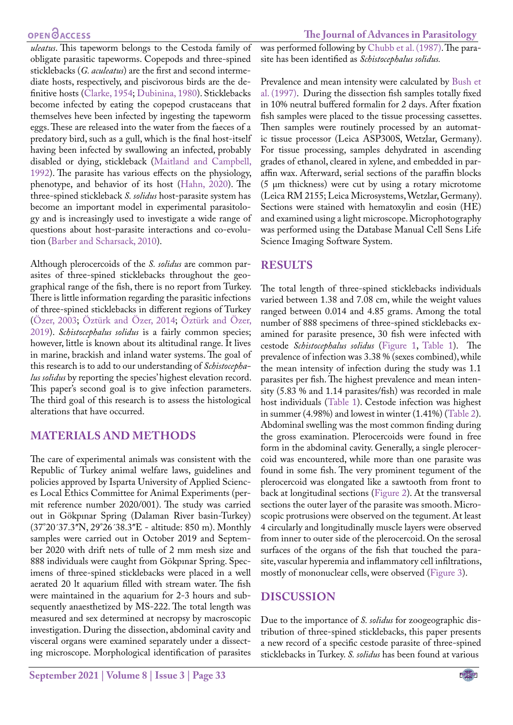*uleatus*. This tapeworm belongs to the Cestoda family of obligate parasitic tapeworms. Copepods and three-spined sticklebacks (*G. aculeatus*) are the first and second intermediate hosts, respectively, and piscivorous birds are the definitive hosts ([Clarke, 1954;](#page-4-7) [Dubinina, 1980](#page-4-8)). Sticklebacks become infected by eating the copepod crustaceans that themselves heve been infected by ingesting the tapeworm eggs. These are released into the water from the faeces of a predatory bird, such as a gull, which is the final host-itself having been infected by swallowing an infected, probably disabled or dying, stickleback ([Maitland and Campbell,](#page-4-6) [1992](#page-4-6)). The parasite has various effects on the physiology, phenotype, and behavior of its host ([Hahn, 2020](#page-4-9)). The three-spined stickleback *S. solidus* host-parasite system has become an important model in experimental parasitology and is increasingly used to investigate a wide range of questions about host-parasite interactions and co-evolution [\(Barber and Scharsack, 2010\)](#page-3-3).

Although plerocercoids of the *S. solidus* are common parasites of three-spined sticklebacks throughout the geographical range of the fish, there is no report from Turkey. There is little information regarding the parasitic infections of three-spined sticklebacks in different regions of Turkey ([Özer, 2003](#page-4-10); [Öztürk and Özer, 2014](#page-4-11); [Öztürk and Özer,](#page-4-12) [2019](#page-4-12)). *Schistocephalus solidus* is a fairly common species; however, little is known about its altitudinal range. It lives in marine, brackish and inland water systems. The goal of this research is to add to our understanding of *Schistocephalus solidus* by reporting the species' highest elevation record. This paper's second goal is to give infection parameters. The third goal of this research is to assess the histological alterations that have occurred.

## **MATERIALS AND METHODS**

The care of experimental animals was consistent with the Republic of Turkey animal welfare laws, guidelines and policies approved by Isparta University of Applied Sciences Local Ethics Committee for Animal Experiments (permit reference number 2020/001). The study was carried out in Gökpınar Spring (Dalaman River basin-Turkey) (37°20´37.3ʺN, 29°26´38.3ʺE - altitude: 850 m). Monthly samples were carried out in October 2019 and September 2020 with drift nets of tulle of 2 mm mesh size and 888 individuals were caught from Gökpınar Spring. Specimens of three-spined sticklebacks were placed in a well aerated 20 lt aquarium filled with stream water. The fish were maintained in the aquarium for 2-3 hours and subsequently anaesthetized by MS-222. The total length was measured and sex determined at necropsy by macroscopic investigation. During the dissection, abdominal cavity and visceral organs were examined separately under a dissecting microscope. Morphological identification of parasites

was performed following by [Chubb et al. \(1987\)](#page-4-13). The parasite has been identified as *Schistocephalus solidus.*

Prevalence and mean intensity were calculated by [Bush et](#page-4-14)  [al. \(1997\)](#page-4-14). During the dissection fish samples totally fixed in 10% neutral buffered formalin for 2 days. After fixation fish samples were placed to the tissue processing cassettes. Then samples were routinely processed by an automatic tissue processor (Leica ASP300S, Wetzlar, Germany). For tissue processing, samples dehydrated in ascending grades of ethanol, cleared in xylene, and embedded in paraffin wax. Afterward, serial sections of the paraffin blocks (5 μm thickness) were cut by using a rotary microtome (Leica RM 2155; Leica Microsystems, Wetzlar, Germany). Sections were stained with hematoxylin and eosin (HE) and examined using a light microscope. Microphotography was performed using the Database Manual Cell Sens Life Science Imaging Software System.

## **RESULTS**

The total length of three-spined sticklebacks individuals varied between 1.38 and 7.08 cm, while the weight values ranged between 0.014 and 4.85 grams. Among the total number of 888 specimens of three-spined sticklebacks examined for parasite presence, 30 fish were infected with cestode *Schistocephalus solidus* [\(Figure 1](#page-2-0), [Table 1\)](#page-2-1). The prevalence of infection was 3.38 % (sexes combined), while the mean intensity of infection during the study was 1.1 parasites per fish. The highest prevalence and mean intensity (5.83 % and 1.14 parasites/fish) was recorded in male host individuals ([Table 1](#page-2-1)). Cestode infection was highest in summer (4.98%) and lowest in winter (1.41%) ([Table 2](#page-2-2)). Abdominal swelling was the most common finding during the gross examination. Plerocercoids were found in free form in the abdominal cavity. Generally, a single plerocercoid was encountered, while more than one parasite was found in some fish. The very prominent tegument of the plerocercoid was elongated like a sawtooth from front to back at longitudinal sections ([Figure 2](#page-2-3)). At the transversal sections the outer layer of the parasite was smooth. Microscopic protrusions were observed on the tegument. At least 4 circularly and longitudinally muscle layers were observed from inner to outer side of the plerocercoid. On the serosal surfaces of the organs of the fish that touched the parasite, vascular hyperemia and inflammatory cell infiltrations, mostly of mononuclear cells, were observed [\(Figure 3\)](#page-2-4).

## **DISCUSSION**

Due to the importance of *S. solidus* for zoogeographic distribution of three-spined sticklebacks, this paper presents a new record of a specific cestode parasite of three-spined sticklebacks in Turkey. *S. solidus* has been found at various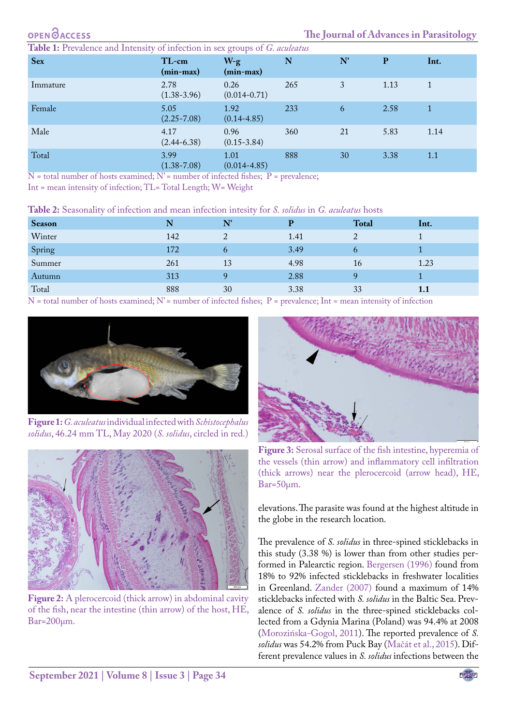<span id="page-2-1"></span>

| <b>Sex</b> | TL-cm<br>$(min-max)$    | $W-g$<br>(min-max)       | N   | N' | P    | Int. |
|------------|-------------------------|--------------------------|-----|----|------|------|
| Immature   | 2.78<br>$(1.38 - 3.96)$ | 0.26<br>$(0.014 - 0.71)$ | 265 | 3  | 1.13 |      |
| Female     | 5.05<br>$(2.25 - 7.08)$ | 1.92<br>$(0.14 - 4.85)$  | 233 | 6  | 2.58 |      |
| Male       | 4.17<br>$(2.44 - 6.38)$ | 0.96<br>$(0.15 - 3.84)$  | 360 | 21 | 5.83 | 1.14 |
| Total      | 3.99<br>$(1.38 - 7.08)$ | 1.01<br>$(0.014 - 4.85)$ | 888 | 30 | 3.38 | 1.1  |

 $N$  = total number of hosts examined;  $N'$  = number of infected fishes;  $P$  = prevalence;

Int = mean intensity of infection; TL= Total Length; W= Weight

<span id="page-2-2"></span>

| Table 2: Seasonality of infection and mean infection intesity for S. solidus in G. aculeatus hosts |  |  |
|----------------------------------------------------------------------------------------------------|--|--|
|----------------------------------------------------------------------------------------------------|--|--|

| N   | N'                                                                                                              | D                                                     | <b>Total</b>   | Int.                                             |
|-----|-----------------------------------------------------------------------------------------------------------------|-------------------------------------------------------|----------------|--------------------------------------------------|
| 142 |                                                                                                                 | 1.41                                                  | ∠              |                                                  |
| 172 |                                                                                                                 | 3.49                                                  |                |                                                  |
| 261 | 13                                                                                                              | 4.98                                                  | 16             | 1.23                                             |
| 313 |                                                                                                                 | 2.88                                                  |                |                                                  |
| 888 | 30                                                                                                              | 3.38                                                  | 33             | 1.1                                              |
|     | the contract of the contract of the contract of the contract of the contract of the contract of the contract of | $\sigma_1$ $\sigma_2$ $\sigma_3$ $\sigma_4$<br>$\sim$ | <b>Service</b> | $\sim$ $\sim$ $\sim$ $\sim$ $\sim$ $\sim$ $\sim$ |

N = total number of hosts examined; N' = number of infected fishes; P = prevalence; Int = mean intensity of infection



**Figure 1:***G. aculeatus* individual infected with *Schistocephalus solidus*, 46.24 mm TL, May 2020 (*S. solidus*, circled in red.)

<span id="page-2-3"></span><span id="page-2-0"></span>

**Figure 2:** A plerocercoid (thick arrow) in abdominal cavity of the fish, near the intestine (thin arrow) of the host, HE, Bar=200µm.



**Figure 3:** Serosal surface of the fish intestine, hyperemia of the vessels (thin arrow) and inflammatory cell infiltration (thick arrows) near the plerocercoid (arrow head), HE, Bar=50µm.

<span id="page-2-4"></span>elevations. The parasite was found at the highest altitude in the globe in the research location.

The prevalence of *S. solidus* in three-spined sticklebacks in this study (3.38 %) is lower than from other studies performed in Palearctic region[. Bergersen \(1996\)](#page-3-4) found from 18% to 92% infected sticklebacks in freshwater localities in Greenland. [Zander \(2007\)](#page-4-15) found a maximum of 14% sticklebacks infected with *S. solidus* in the Baltic Sea. Prevalence of *S. solidus* in the three-spined sticklebacks collected from a Gdynia Marina (Poland) was 94.4% at 2008 [\(Morozińska-Gogol, 2011](#page-4-16)). The reported prevalence of *S. solidus* was 54.2% from Puck Bay ([Mačát et al., 2015\)](#page-4-17). Different prevalence values in *S. solidus* infections between the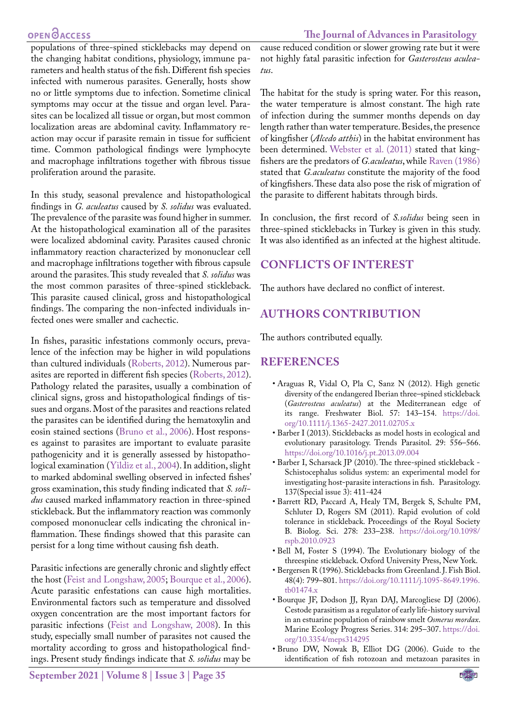#### **OPEN**OACCESS

populations of three-spined sticklebacks may depend on the changing habitat conditions, physiology, immune parameters and health status of the fish. Different fish species infected with numerous parasites. Generally, hosts show no or little symptoms due to infection. Sometime clinical symptoms may occur at the tissue and organ level. Parasites can be localized all tissue or organ, but most common localization areas are abdominal cavity. Inflammatory reaction may occur if parasite remain in tissue for sufficient time. Common pathological findings were lymphocyte and macrophage infiltrations together with fibrous tissue proliferation around the parasite.

In this study, seasonal prevalence and histopathological findings in *G. aculeatus* caused by *S. solidus* was evaluated. The prevalence of the parasite was found higher in summer. At the histopathological examination all of the parasites were localized abdominal cavity. Parasites caused chronic inflammatory reaction characterized by mononuclear cell and macrophage infiltrations together with fibrous capsule around the parasites. This study revealed that *S. solidus* was the most common parasites of three-spined stickleback. This parasite caused clinical, gross and histopathological findings. The comparing the non-infected individuals infected ones were smaller and cachectic.

In fishes, parasitic infestations commonly occurs, prevalence of the infection may be higher in wild populations than cultured individuals [\(Roberts, 2012](#page-4-18)). Numerous parasites are reported in different fish species ([Roberts, 2012](#page-4-18)). Pathology related the parasites, usually a combination of clinical signs, gross and histopathological findings of tissues and organs. Most of the parasites and reactions related the parasites can be identified during the hematoxylin and eosin stained sections [\(Bruno et al., 2006\)](#page-3-5). Host responses against to parasites are important to evaluate parasite pathogenicity and it is generally assessed by histopathological examination ([Yildiz et al., 2004\)](#page-4-19). In addition, slight to marked abdominal swelling observed in infected fishes' gross examination, this study finding indicated that *S. solidus* caused marked inflammatory reaction in three-spined stickleback. But the inflammatory reaction was commonly composed mononuclear cells indicating the chronical inflammation. These findings showed that this parasite can persist for a long time without causing fish death.

Parasitic infections are generally chronic and slightly effect the host ([Feist and Longshaw, 2005](#page-4-20); [Bourque et al., 2006](#page-3-6)). Acute parasitic enfestations can cause high mortalities. Environmental factors such as temperature and dissolved oxygen concentration are the most important factors for parasitic infections ([Feist and Longshaw, 2008\)](#page-4-21). In this study, especially small number of parasites not caused the mortality according to gross and histopathological findings. Present study findings indicate that *S. solidus* may be

cause reduced condition or slower growing rate but it were not highly fatal parasitic infection for *Gasterosteus aculeatus*.

The habitat for the study is spring water. For this reason, the water temperature is almost constant. The high rate of infection during the summer months depends on day length rather than water temperature. Besides, the presence of kingfisher (*Alcedo atthis*) in the habitat environment has been determined. [Webster et al. \(2011\)](#page-4-22) stated that kingfishers are the predators of *G.aculeatus*, while [Raven \(1986\)](#page-4-23) stated that *G.aculeatus* constitute the majority of the food of kingfishers. These data also pose the risk of migration of the parasite to different habitats through birds.

In conclusion, the first record of *S.solidus* being seen in three-spined sticklebacks in Turkey is given in this study. It was also identified as an infected at the highest altitude.

# **CONFLICTS OF INTEREST**

The authors have declared no conflict of interest.

# **AUTHORS CONTRIBUTION**

The authors contributed equally.

#### **REFERENCES**

- <span id="page-3-0"></span>• Araguas R, Vidal O, Pla C, Sanz N (2012). High genetic diversity of the endangered Iberian three–spined stickleback (*Gasterosteus aculeatus*) at the Mediterranean edge of its range. Freshwater Biol. 57: 143–154. [https://doi.](https://doi.org/10.1111/j.1365-2427.2011.02705.x ) [org/10.1111/j.1365-2427.2011.02705.x](https://doi.org/10.1111/j.1365-2427.2011.02705.x )
- <span id="page-3-2"></span>• Barber I (2013). Sticklebacks as model hosts in ecological and evolutionary parasitology. Trends Parasitol. 29: 556–566. <https://doi.org/10.1016/j.pt.2013.09.004>
- <span id="page-3-3"></span>• Barber I, Scharsack JP (2010). The three-spined stickleback - Schistocephalus solidus system: an experimental model for investigating host-parasite interactions in fish. Parasitology. 137(Special issue 3): 411-424
- • Barrett RD, Paccard A, Healy TM, Bergek S, Schulte PM, Schluter D, Rogers SM (2011). Rapid evolution of cold tolerance in stickleback. Proceedings of the Royal Society B. Biolog. Sci. 278: 233–238[. https://doi.org/10.1098/]( https://doi.org/10.1098/rspb.2010.0923 ) [rspb.2010.0923]( https://doi.org/10.1098/rspb.2010.0923 )
- <span id="page-3-1"></span>• Bell M, Foster S (1994). The Evolutionary biology of the threespine stickleback. Oxford University Press, New York.
- <span id="page-3-4"></span>• Bergersen R (1996). Sticklebacks from Greenland. J. Fish Biol. 48(4): 799–801. [https://doi.org/10.1111/j.1095-8649.1996.](https://doi.org/10.1111/j.1095-8649.1996.tb01474.x ) [tb01474.x](https://doi.org/10.1111/j.1095-8649.1996.tb01474.x )
- <span id="page-3-6"></span>• Bourque JF, Dodson JJ, Ryan DAJ, Marcogliese DJ (2006). Cestode parasitism as a regulator of early life-history survival in an estuarine population of rainbow smelt *Osmerus mordax*. Marine Ecology Progress Series. 314: 295–307[. https://doi.]( https://doi.org/10.3354/meps314295 ) [org/10.3354/meps314295]( https://doi.org/10.3354/meps314295 )
- <span id="page-3-5"></span>• Bruno DW, Nowak B, Elliot DG (2006). Guide to the identification of fish rotozoan and metazoan parasites in